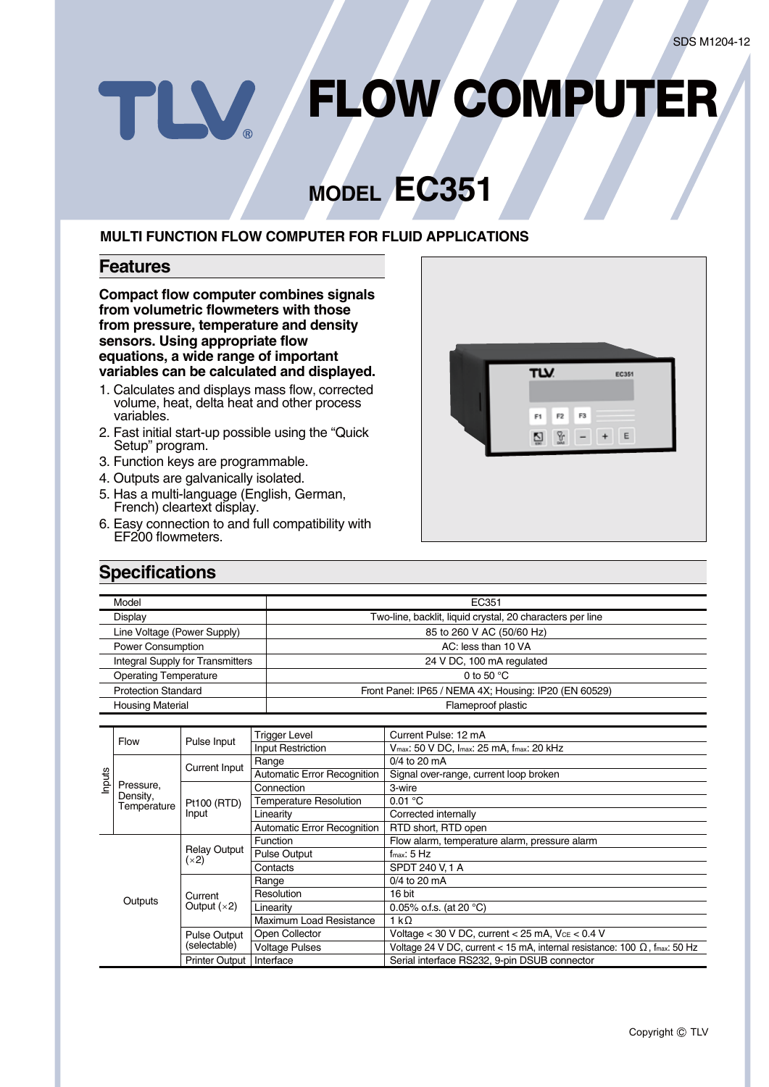# **FLOW COMPUTER** TLV

## **MODEL EC351**

### **MULTI FUNCTION FLOW COMPUTER FOR FLUID APPLICATIONS**

#### **Features**

**Compact flow computer combines signals from volumetric flowmeters with those from pressure, temperature and density sensors. Using appropriate flow equations, a wide range of important variables can be calculated and displayed.**

- 1. Calculates and displays mass flow, corrected volume, heat, delta heat and other process variables.
- 2. Fast initial start-up possible using the "Quick Setup" program.
- 3. Function keys are programmable.
- 4. Outputs are galvanically isolated.
- 5. Has a multi-language (English, German, French) cleartext display.
- 6. Easy connection to and full compatibility with EF200 flowmeters.



## **Specifications**

| Model                                   | EC351                                                     |  |
|-----------------------------------------|-----------------------------------------------------------|--|
| <b>Display</b>                          | Two-line, backlit, liquid crystal, 20 characters per line |  |
| Line Voltage (Power Supply)             | 85 to 260 V AC (50/60 Hz)                                 |  |
| Power Consumption                       | AC: less than 10 VA                                       |  |
| <b>Integral Supply for Transmitters</b> | 24 V DC, 100 mA regulated                                 |  |
| <b>Operating Temperature</b>            | 0 to 50 $\degree$ C                                       |  |
| <b>Protection Standard</b>              | Front Panel: IP65 / NEMA 4X; Housing: IP20 (EN 60529)     |  |
| <b>Housing Material</b>                 | Flameproof plastic                                        |  |

|        |                                      |                                    | <b>Trigger Level</b>               | Current Pulse: 12 mA                                                              |  |  |
|--------|--------------------------------------|------------------------------------|------------------------------------|-----------------------------------------------------------------------------------|--|--|
| Inputs | <b>Flow</b>                          | Pulse Input                        | <b>Input Restriction</b>           | Vmax: 50 V DC, Imax: 25 MA, fmax: 20 kHz                                          |  |  |
|        | Pressure.<br>Density,<br>Temperature |                                    | Range                              | $0/4$ to 20 mA                                                                    |  |  |
|        |                                      | <b>Current Input</b>               | <b>Automatic Error Recognition</b> | Signal over-range, current loop broken                                            |  |  |
|        |                                      | Pt100 (RTD)<br>Input               | Connection                         | 3-wire                                                                            |  |  |
|        |                                      |                                    | <b>Temperature Resolution</b>      | 0.01 °C                                                                           |  |  |
|        |                                      |                                    | Linearity                          | Corrected internally                                                              |  |  |
|        |                                      |                                    | <b>Automatic Error Recognition</b> | RTD short, RTD open                                                               |  |  |
|        |                                      | <b>Relay Output</b><br>(x2)        | Function                           | Flow alarm, temperature alarm, pressure alarm                                     |  |  |
|        |                                      |                                    | <b>Pulse Output</b>                | $f_{\text{max}}$ : 5 Hz                                                           |  |  |
|        | Outputs                              |                                    | Contacts                           | SPDT 240 V.1 A                                                                    |  |  |
|        |                                      | Current<br>Output $(x2)$           | Range                              | 0/4 to 20 mA                                                                      |  |  |
|        |                                      |                                    | Resolution                         | 16 bit                                                                            |  |  |
|        |                                      |                                    | Linearity                          | 0.05% o.f.s. (at 20 $^{\circ}$ C)                                                 |  |  |
|        |                                      |                                    | Maximum Load Resistance            | 1 kΩ                                                                              |  |  |
|        |                                      | <b>Pulse Output</b>                | Open Collector                     | Voltage < 30 V DC, current < 25 mA, $V_{CE}$ < 0.4 V                              |  |  |
|        |                                      | (selectable)                       | <b>Voltage Pulses</b>              | Voltage 24 V DC, current < 15 mA, internal resistance: 100 $\Omega$ , fmax: 50 Hz |  |  |
|        |                                      | Interface<br><b>Printer Output</b> |                                    | Serial interface RS232, 9-pin DSUB connector                                      |  |  |